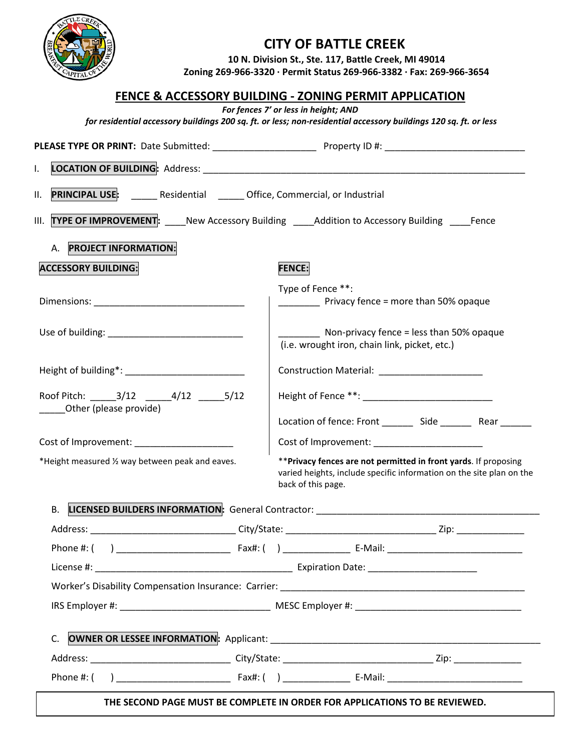

## **CITY OF BATTLE CREEK**

**10 N. Division St., Ste. 117, Battle Creek, MI 49014 Zoning 269-966-3320 ∙ Permit Status 269-966-3382 ∙ Fax: 269-966-3654** 

|                                                                                  | <b>FENCE &amp; ACCESSORY BUILDING - ZONING PERMIT APPLICATION</b>                                                                                              |
|----------------------------------------------------------------------------------|----------------------------------------------------------------------------------------------------------------------------------------------------------------|
|                                                                                  | For fences 7' or less in height; AND<br>for residential accessory buildings 200 sq. ft. or less; non-residential accessory buildings 120 sq. ft. or less       |
|                                                                                  |                                                                                                                                                                |
| I.                                                                               |                                                                                                                                                                |
| PRINCIPAL USE: ______ Residential ______ Office, Commercial, or Industrial<br>П. |                                                                                                                                                                |
|                                                                                  | III. TYPE OF IMPROVEMENT: _____ New Accessory Building _____Addition to Accessory Building _____Fence                                                          |
| A. PROJECT INFORMATION:                                                          |                                                                                                                                                                |
| <b>ACCESSORY BUILDING:</b>                                                       | <b>FENCE:</b>                                                                                                                                                  |
|                                                                                  | Type of Fence **:<br>_____________ Privacy fence = more than 50% opaque                                                                                        |
|                                                                                  | Non-privacy fence = less than 50% opaque<br>(i.e. wrought iron, chain link, picket, etc.)                                                                      |
|                                                                                  |                                                                                                                                                                |
| Roof Pitch: ______3/12 ______4/12 ______5/12<br>Other (please provide)           |                                                                                                                                                                |
|                                                                                  | Location of fence: Front __________ Side ___________ Rear ________                                                                                             |
| *Height measured 1/2 way between peak and eaves.                                 | ** Privacy fences are not permitted in front yards. If proposing<br>varied heights, include specific information on the site plan on the<br>back of this page. |
| <b>LICENSED BUILDERS INFORMATION: General Contractor:</b><br>В.                  |                                                                                                                                                                |
|                                                                                  |                                                                                                                                                                |
|                                                                                  |                                                                                                                                                                |
|                                                                                  |                                                                                                                                                                |
|                                                                                  |                                                                                                                                                                |
|                                                                                  |                                                                                                                                                                |
|                                                                                  |                                                                                                                                                                |
|                                                                                  |                                                                                                                                                                |
|                                                                                  |                                                                                                                                                                |

**THE SECOND PAGE MUST BE COMPLETE IN ORDER FOR APPLICATIONS TO BE REVIEWED.**